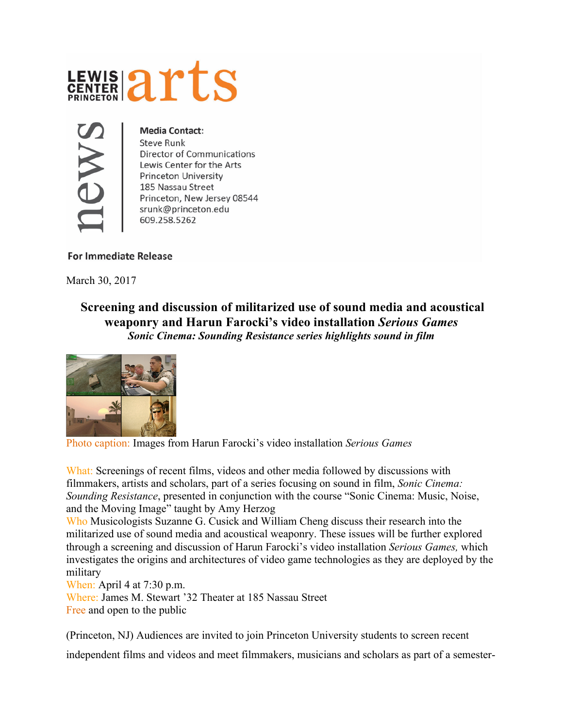



## **Media Contact:**

Steve Runk Director of Communications Lewis Center for the Arts Princeton University 185 Nassau Street Princeton, New Jersey 08544 srunk@princeton.edu 609.258.5262

## **For Immediate Release**

March 30, 2017

**Screening and discussion of militarized use of sound media and acoustical weaponry and Harun Farocki's video installation** *Serious Games Sonic Cinema: Sounding Resistance series highlights sound in film* 



Photo caption: Images from Harun Farocki's video installation *Serious Games*

What: Screenings of recent films, videos and other media followed by discussions with filmmakers, artists and scholars, part of a series focusing on sound in film, *Sonic Cinema: Sounding Resistance*, presented in conjunction with the course "Sonic Cinema: Music, Noise, and the Moving Image" taught by Amy Herzog

Who Musicologists Suzanne G. Cusick and William Cheng discuss their research into the militarized use of sound media and acoustical weaponry. These issues will be further explored through a screening and discussion of Harun Farocki's video installation *Serious Games,* which investigates the origins and architectures of video game technologies as they are deployed by the military

When: April 4 at 7:30 p.m.

Where: James M. Stewart '32 Theater at 185 Nassau Street Free and open to the public

(Princeton, NJ) Audiences are invited to join Princeton University students to screen recent

independent films and videos and meet filmmakers, musicians and scholars as part of a semester-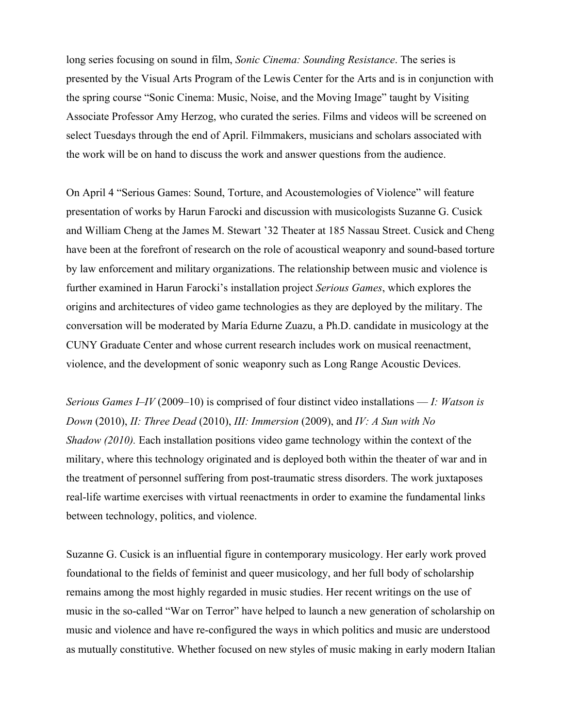long series focusing on sound in film, *Sonic Cinema: Sounding Resistance*. The series is presented by the Visual Arts Program of the Lewis Center for the Arts and is in conjunction with the spring course "Sonic Cinema: Music, Noise, and the Moving Image" taught by Visiting Associate Professor Amy Herzog, who curated the series. Films and videos will be screened on select Tuesdays through the end of April. Filmmakers, musicians and scholars associated with the work will be on hand to discuss the work and answer questions from the audience.

On April 4 "Serious Games: Sound, Torture, and Acoustemologies of Violence" will feature presentation of works by Harun Farocki and discussion with musicologists Suzanne G. Cusick and William Cheng at the James M. Stewart '32 Theater at 185 Nassau Street. Cusick and Cheng have been at the forefront of research on the role of acoustical weaponry and sound-based torture by law enforcement and military organizations. The relationship between music and violence is further examined in Harun Farocki's installation project *Serious Games*, which explores the origins and architectures of video game technologies as they are deployed by the military. The conversation will be moderated by María Edurne Zuazu, a Ph.D. candidate in musicology at the CUNY Graduate Center and whose current research includes work on musical reenactment, violence, and the development of sonic weaponry such as Long Range Acoustic Devices.

*Serious Games I–IV* (2009–10) is comprised of four distinct video installations — *I: Watson is Down* (2010), *II: Three Dead* (2010), *III: Immersion* (2009), and *IV: A Sun with No Shadow (2010).* Each installation positions video game technology within the context of the military, where this technology originated and is deployed both within the theater of war and in the treatment of personnel suffering from post-traumatic stress disorders. The work juxtaposes real-life wartime exercises with virtual reenactments in order to examine the fundamental links between technology, politics, and violence.

Suzanne G. Cusick is an influential figure in contemporary musicology. Her early work proved foundational to the fields of feminist and queer musicology, and her full body of scholarship remains among the most highly regarded in music studies. Her recent writings on the use of music in the so-called "War on Terror" have helped to launch a new generation of scholarship on music and violence and have re-configured the ways in which politics and music are understood as mutually constitutive. Whether focused on new styles of music making in early modern Italian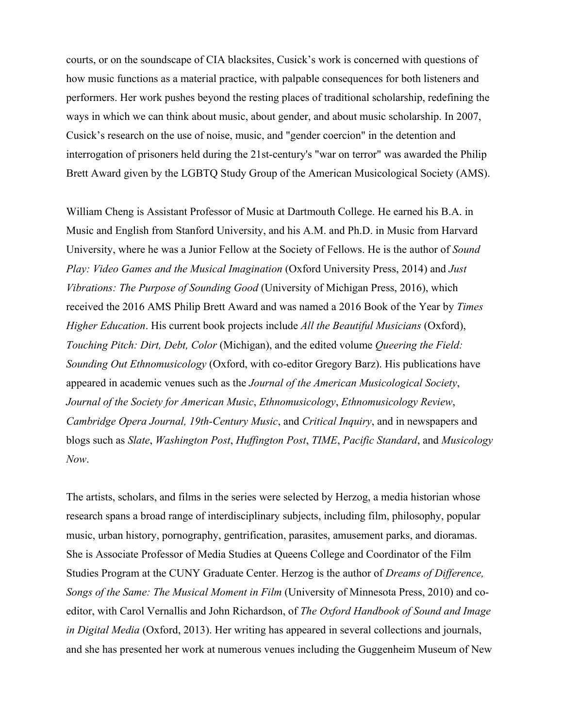courts, or on the soundscape of CIA blacksites, Cusick's work is concerned with questions of how music functions as a material practice, with palpable consequences for both listeners and performers. Her work pushes beyond the resting places of traditional scholarship, redefining the ways in which we can think about music, about gender, and about music scholarship. In 2007, Cusick's research on the use of noise, music, and "gender coercion" in the detention and interrogation of prisoners held during the 21st-century's "war on terror" was awarded the Philip Brett Award given by the LGBTQ Study Group of the American Musicological Society (AMS).

William Cheng is Assistant Professor of Music at Dartmouth College. He earned his B.A. in Music and English from Stanford University, and his A.M. and Ph.D. in Music from Harvard University, where he was a Junior Fellow at the Society of Fellows. He is the author of *Sound Play: Video Games and the Musical Imagination* (Oxford University Press, 2014) and *Just Vibrations: The Purpose of Sounding Good* (University of Michigan Press, 2016), which received the 2016 AMS Philip Brett Award and was named a 2016 Book of the Year by *Times Higher Education*. His current book projects include *All the Beautiful Musicians* (Oxford), *Touching Pitch: Dirt, Debt, Color* (Michigan), and the edited volume *Queering the Field: Sounding Out Ethnomusicology* (Oxford, with co-editor Gregory Barz). His publications have appeared in academic venues such as the *Journal of the American Musicological Society*, *Journal of the Society for American Music*, *Ethnomusicology*, *Ethnomusicology Review*, *Cambridge Opera Journal, 19th-Century Music*, and *Critical Inquiry*, and in newspapers and blogs such as *Slate*, *Washington Post*, *Huffington Post*, *TIME*, *Pacific Standard*, and *Musicology Now*.

The artists, scholars, and films in the series were selected by Herzog, a media historian whose research spans a broad range of interdisciplinary subjects, including film, philosophy, popular music, urban history, pornography, gentrification, parasites, amusement parks, and dioramas. She is Associate Professor of Media Studies at Queens College and Coordinator of the Film Studies Program at the CUNY Graduate Center. Herzog is the author of *Dreams of Difference, Songs of the Same: The Musical Moment in Film* (University of Minnesota Press, 2010) and coeditor, with Carol Vernallis and John Richardson, of *The Oxford Handbook of Sound and Image in Digital Media* (Oxford, 2013). Her writing has appeared in several collections and journals, and she has presented her work at numerous venues including the Guggenheim Museum of New